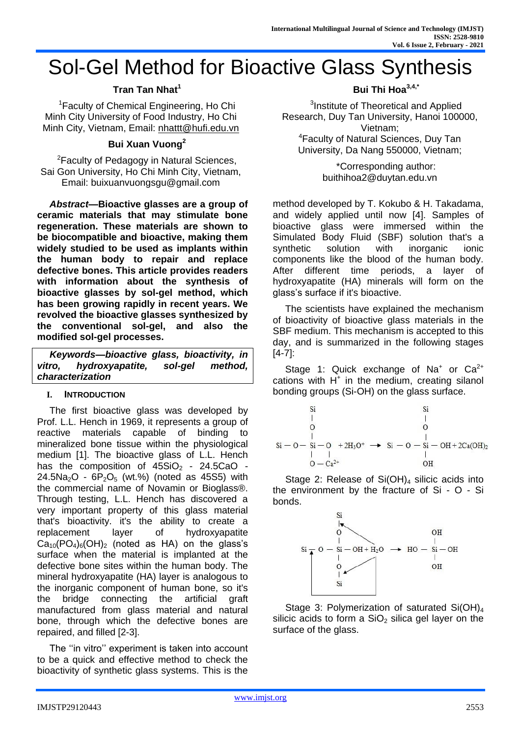# Sol-Gel Method for Bioactive Glass Synthesis

# **Tran Tan Nhat<sup>1</sup>**

<sup>1</sup>Faculty of Chemical Engineering, Ho Chi Minh City University of Food Industry, Ho Chi Minh City, Vietnam, Email: [nhattt@hufi.edu.vn](mailto:nhattt@hufi.edu.vn)

# **Bui Xuan Vuong<sup>2</sup>**

<sup>2</sup>Faculty of Pedagogy in Natural Sciences, Sai Gon University, Ho Chi Minh City, Vietnam, Email: buixuanvuongsgu@gmail.com

*Abstract***—Bioactive glasses are a group of ceramic materials that may stimulate bone regeneration. These materials are shown to be biocompatible and bioactive, making them widely studied to be used as implants within the human body to repair and replace defective bones. This article provides readers with information about the synthesis of bioactive glasses by sol-gel method, which has been growing rapidly in recent years. We revolved the bioactive glasses synthesized by the conventional sol-gel, and also the modified sol-gel processes.** 

*Keywords—bioactive glass, bioactivity, in vitro, hydroxyapatite, sol-gel method, characterization*

## **I. INTRODUCTION**

The first bioactive glass was developed by Prof. L.L. Hench in 1969, it represents a group of reactive materials capable of binding to mineralized bone tissue within the physiological medium [1]. The bioactive glass of L.L. Hench has the composition of  $45SiO<sub>2</sub> - 24.5CaO 24.5$ Na<sub>2</sub>O -  $6P_2O_5$  (wt.%) (noted as 45S5) with the commercial name of Novamin or Bioglass®. Through testing, L.L. Hench has discovered a very important property of this glass material that's bioactivity. it's the ability to create a replacement layer of hydroxyapatite  $Ca<sub>10</sub>(PO<sub>4</sub>)<sub>6</sub>(OH)<sub>2</sub>$  (noted as HA) on the glass's surface when the material is implanted at the defective bone sites within the human body. The mineral hydroxyapatite (HA) layer is analogous to the inorganic component of human bone, so it's the bridge connecting the artificial graft manufactured from glass material and natural bone, through which the defective bones are repaired, and filled [2-3].

The ''in vitro'' experiment is taken into account to be a quick and effective method to check the bioactivity of synthetic glass systems. This is the

## **Bui Thi Hoa3,4,\***

<sup>3</sup>Institute of Theoretical and Applied Research, Duy Tan University, Hanoi 100000, Vietnam; <sup>4</sup>Faculty of Natural Sciences, Duy Tan University, Da Nang 550000, Vietnam;

> \*Corresponding author: [buithihoa2@duytan.edu.vn](mailto:buithihoa2@duytan.edu.vn)

method developed by T. Kokubo & H. Takadama, and widely applied until now [4]. Samples of bioactive glass were immersed within the Simulated Body Fluid (SBF) solution that's a synthetic solution with inorganic ionic components like the blood of the human body. After different time periods, a layer of hydroxyapatite (HA) minerals will form on the glass's surface if it's bioactive.

The scientists have explained the mechanism of bioactivity of bioactive glass materials in the SBF medium. This mechanism is accepted to this day, and is summarized in the following stages [4-7]:

Stage 1: Quick exchange of Na<sup>+</sup> or  $Ca^{2+}$ cations with  $H^+$  in the medium, creating silanol bonding groups (Si-OH) on the glass surface.



the environment by the fracture of Si - O - Si bonds.



Stage 3: Polymerization of saturated Si(OH)<sub>4</sub> silicic acids to form a  $SiO<sub>2</sub>$  silica gel layer on the surface of the glass.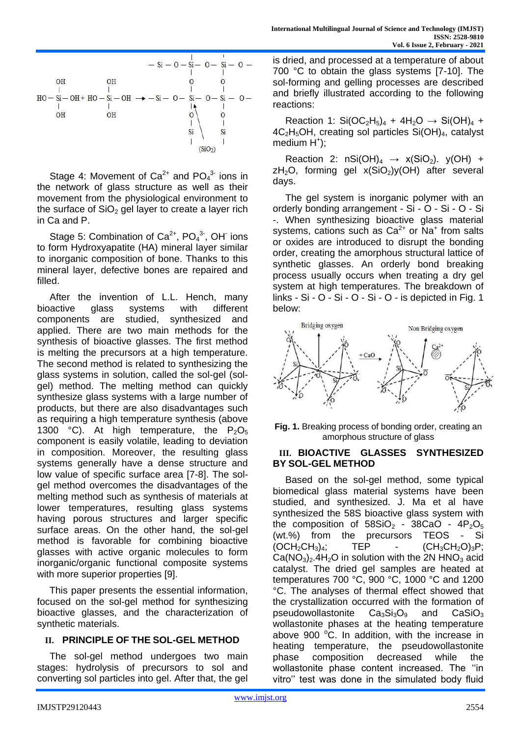

Stage 4: Movement of  $Ca^{2+}$  and  $PO<sub>4</sub><sup>3-</sup>$  ions in the network of glass structure as well as their movement from the physiological environment to the surface of  $SiO<sub>2</sub>$  gel layer to create a layer rich in Ca and P.

Stage 5: Combination of  $Ca^{2+}$ , PO $_4^3$ , OH ions to form Hydroxyapatite (HA) mineral layer similar to inorganic composition of bone. Thanks to this mineral layer, defective bones are repaired and filled.

After the invention of L.L. Hench, many bioactive glass systems with different components are studied, synthesized and applied. There are two main methods for the synthesis of bioactive glasses. The first method is melting the precursors at a high temperature. The second method is related to synthesizing the glass systems in solution, called the sol-gel (solgel) method. The melting method can quickly synthesize glass systems with a large number of products, but there are also disadvantages such as requiring a high temperature synthesis (above 1300 °C). At high temperature, the  $P_2O_5$ component is easily volatile, leading to deviation in composition. Moreover, the resulting glass systems generally have a dense structure and low value of specific surface area [7-8]. The solgel method overcomes the disadvantages of the melting method such as synthesis of materials at lower temperatures, resulting glass systems having porous structures and larger specific surface areas. On the other hand, the sol-gel method is favorable for combining bioactive glasses with active organic molecules to form inorganic/organic functional composite systems with more superior properties [9].

This paper presents the essential information, focused on the sol-gel method for synthesizing bioactive glasses, and the characterization of synthetic materials.

## **II. PRINCIPLE OF THE SOL-GEL METHOD**

The sol-gel method undergoes two main stages: hydrolysis of precursors to sol and converting sol particles into gel. After that, the gel is dried, and processed at a temperature of about 700 °C to obtain the glass systems [7-10]. The sol-forming and gelling processes are described and briefly illustrated according to the following reactions:

Reaction 1:  $Si(OC_2H_5)_4 + 4H_2O \rightarrow Si(OH)_4 +$  $4C_2H_5OH$ , creating sol particles  $Si(OH)_4$ , catalyst  $median H^{\dagger}$ );

Reaction 2:  $nSi(OH)<sub>4</sub> \rightarrow x(SiO<sub>2</sub>)$ .  $y(OH) +$  $zH_2O$ , forming gel  $x(SiO_2)y(OH)$  after several days.

The gel system is inorganic polymer with an orderly bonding arrangement - Si - O - Si - O - Si -. When synthesizing bioactive glass material systems, cations such as  $Ca^{2+}$  or  $Na^{+}$  from salts or oxides are introduced to disrupt the bonding order, creating the amorphous structural lattice of synthetic glasses. An orderly bond breaking process usually occurs when treating a dry gel system at high temperatures. The breakdown of links - Si - O - Si - O - Si - O - is depicted in Fig. 1 below:



**Fig. 1.** Breaking process of bonding order, creating an amorphous structure of glass

## **III. BIOACTIVE GLASSES SYNTHESIZED BY SOL-GEL METHOD**

Based on the sol-gel method, some typical biomedical glass material systems have been studied, and synthesized. J. Ma et al have synthesized the 58S bioactive glass system with the composition of  $58SiO<sub>2</sub>$  -  $38CaO - 4P<sub>2</sub>O<sub>5</sub>$ (wt.%) from the precursors TEOS - Si  $(OCH_2CH_3)_4$ ; TEP -  $(CH_3CH_2O)_3P$ ;  $Ca(NO<sub>3</sub>)<sub>2</sub>$ .4H<sub>2</sub>O in solution with the 2N HNO<sub>3</sub> acid catalyst. The dried gel samples are heated at temperatures 700 °C, 900 °C, 1000 °C and 1200 °C. The analyses of thermal effect showed that the crystallization occurred with the formation of pseudowollastonite  $Ca<sub>3</sub>Si<sub>3</sub>O<sub>9</sub>$  and  $CaSiO<sub>3</sub>$ wollastonite phases at the heating temperature above 900 $^{\circ}$ C. In addition, with the increase in heating temperature, the pseudowollastonite phase composition decreased while the wollastonite phase content increased. The ''in vitro'' test was done in the simulated body fluid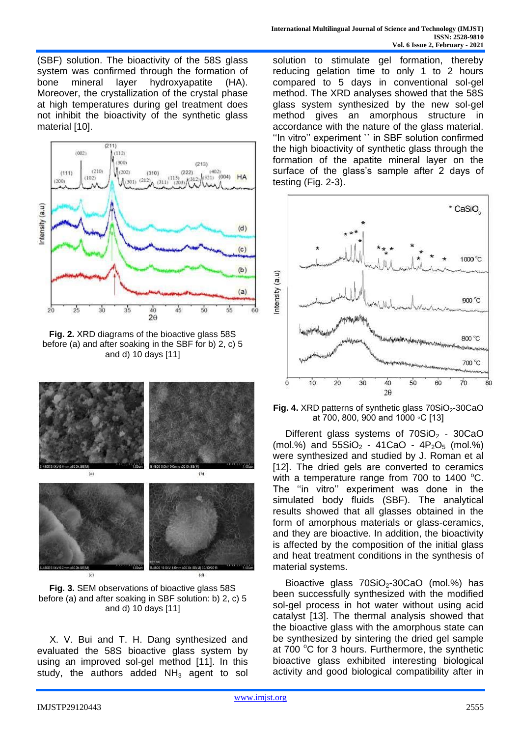(SBF) solution. The bioactivity of the 58S glass system was confirmed through the formation of bone mineral layer hydroxyapatite (HA). Moreover, the crystallization of the crystal phase at high temperatures during gel treatment does not inhibit the bioactivity of the synthetic glass material [10].



**Fig. 2.** XRD diagrams of the bioactive glass 58S before (a) and after soaking in the SBF for b) 2, c) 5 and d) 10 days [11]



**Fig. 3.** SEM observations of bioactive glass 58S before (a) and after soaking in SBF solution: b) 2, c) 5 and d) 10 days [11]

X. V. Bui and T. H. Dang synthesized and evaluated the 58S bioactive glass system by using an improved sol-gel method [11]. In this study, the authors added  $NH<sub>3</sub>$  agent to sol solution to stimulate gel formation, thereby reducing gelation time to only 1 to 2 hours compared to 5 days in conventional sol-gel method. The XRD analyses showed that the 58S glass system synthesized by the new sol-gel method gives an amorphous structure in accordance with the nature of the glass material. ''In vitro'' experiment `` in SBF solution confirmed the high bioactivity of synthetic glass through the formation of the apatite mineral layer on the surface of the glass's sample after 2 days of testing (Fig. 2-3).



**Fig. 4.** XRD patterns of synthetic glass 70SiO<sub>2</sub>-30CaO at 700, 800, 900 and 1000 ◦C [13]

Different glass systems of  $70SiO<sub>2</sub> - 30CaO$ (mol.%) and  $55SiO<sub>2</sub> - 41CaO - 4P<sub>2</sub>O<sub>5</sub>$  (mol.%) were synthesized and studied by J. Roman et al [12]. The dried gels are converted to ceramics with a temperature range from 700 to 1400  $^{\circ}$ C. The ''in vitro'' experiment was done in the simulated body fluids (SBF). The analytical results showed that all glasses obtained in the form of amorphous materials or glass-ceramics, and they are bioactive. In addition, the bioactivity is affected by the composition of the initial glass and heat treatment conditions in the synthesis of material systems.

Bioactive glass  $70SiO<sub>2</sub>$ -30CaO (mol.%) has been successfully synthesized with the modified sol-gel process in hot water without using acid catalyst [13]. The thermal analysis showed that the bioactive glass with the amorphous state can be synthesized by sintering the dried gel sample at 700 $\degree$ C for 3 hours. Furthermore, the synthetic bioactive glass exhibited interesting biological activity and good biological compatibility after in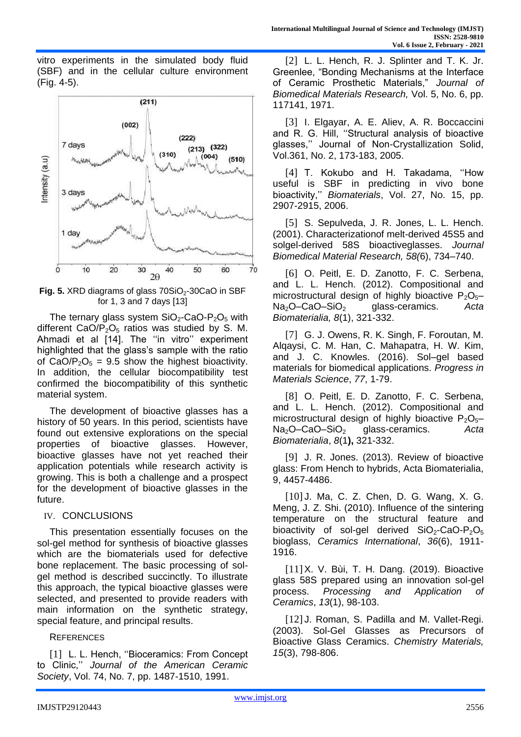vitro experiments in the simulated body fluid (SBF) and in the cellular culture environment (Fig. 4-5).



**Fig. 5.** XRD diagrams of glass 70SiO<sub>2</sub>-30CaO in SBF for 1, 3 and 7 days [13]

The ternary glass system  $SiO<sub>2</sub>-CaO-P<sub>2</sub>O<sub>5</sub>$  with different  $CaO/P<sub>2</sub>O<sub>5</sub>$  ratios was studied by S. M. Ahmadi et al [14]. The ''in vitro'' experiment highlighted that the glass's sample with the ratio of CaO/P<sub>2</sub>O<sub>5</sub> = 9.5 show the highest bioactivity. In addition, the cellular biocompatibility test confirmed the biocompatibility of this synthetic material system.

The development of bioactive glasses has a history of 50 years. In this period, scientists have found out extensive explorations on the special properties of bioactive glasses. However, bioactive glasses have not yet reached their application potentials while research activity is growing. This is both a challenge and a prospect for the development of bioactive glasses in the future.

## IV. CONCLUSIONS

This presentation essentially focuses on the sol-gel method for synthesis of bioactive glasses which are the biomaterials used for defective bone replacement. The basic processing of solgel method is described succinctly. To illustrate this approach, the typical bioactive glasses were selected, and presented to provide readers with main information on the synthetic strategy, special feature, and principal results.

## **REFERENCES**

[1] L. L. Hench, "Bioceramics: From Concept to Clinic,'' *Journal of the American Ceramic Society*, Vol. 74, No. 7, pp. 1487-1510, 1991.

[2] L. L. Hench, R. J. Splinter and T. K. Jr. Greenlee, "Bonding Mechanisms at the Interface of Ceramic Prosthetic Materials," *Journal of Biomedical Materials Research,* Vol. 5, No. 6, pp. 117141, 1971.

[3] I. Elgayar, A. E. Aliev, A. R. Boccaccini and R. G. Hill, ''Structural analysis of bioactive glasses,'' Journal of Non-Crystallization Solid, Vol.361, No. 2, 173-183, 2005.

[4] T. Kokubo and H. Takadama, "How useful is SBF in predicting in vivo bone bioactivity,'' *Biomaterials*, Vol. 27, No. 15, pp. 2907-2915, 2006.

[5] S. Sepulveda, J. R. Jones, L. L. Hench. (2001). Characterizationof melt-derived 45S5 and solgel-derived 58S bioactiveglasses. *Journal Biomedical Material Research, 58(*6), 734–740.

[6] O. Peitl, E. D. Zanotto, F. C. Serbena, and L. L. Hench. (2012). Compositional and microstructural design of highly bioactive  $P_2O_5$ – Na2O–CaO–SiO<sup>2</sup> glass-ceramics. *[Acta](https://www.sciencedirect.com/science/journal/17427061)  [Biomaterialia,](https://www.sciencedirect.com/science/journal/17427061) 8*(1), 321-332.

[7] G. J. Owens, R. K. Singh, F. Foroutan, M. Alqaysi, C. M. Han, C. Mahapatra, H. W. Kim, and J. C. Knowles. (2016). Sol–gel based materials for biomedical applications. *[Progress in](https://www.sciencedirect.com/science/journal/00796425)  [Materials Science](https://www.sciencedirect.com/science/journal/00796425)*[,](https://www.sciencedirect.com/science/journal/00796425) *77*, 1-79.

[8] O. Peitl, E. D. Zanotto, F. C. Serbena, and L. L. Hench. (2012). Compositional and microstructural design of highly bioactive  $P_2O_5$ -Na2O–CaO–SiO<sup>2</sup> glass-ceramics. *[Acta](https://www.sciencedirect.com/science/journal/17427061)  [Biomaterialia](https://www.sciencedirect.com/science/journal/17427061)*[,](https://www.sciencedirect.com/science/journal/17427061) *8*(1**),** 321-332.

[9] J. R. Jones. (2013). Review of bioactive glass: From Hench to hybrids, Acta Biomaterialia, 9, 4457-4486.

[10] J. Ma, C. Z. Chen, D. G. Wang, X. G. Meng, J. Z. Shi. (2010). Influence of the sintering temperature on the structural feature and bioactivity of sol-gel derived  $SiO_2$ -CaO-P<sub>2</sub>O<sub>5</sub> bioglass, *Ceramics International*, *36*(6), 1911- 1916.

[11] X. V. Bùi, T. H. Dang. (2019). Bioactive glass 58S prepared using an innovation sol-gel process. *Processing and Application of Ceramics*, *13*(1), 98-103.

[12] J. Roman, S. Padilla and M. Vallet-Regi. (2003). Sol-Gel Glasses as Precursors of Bioactive Glass Ceramics. *Chemistry Materials, 15*(3), 798-806.